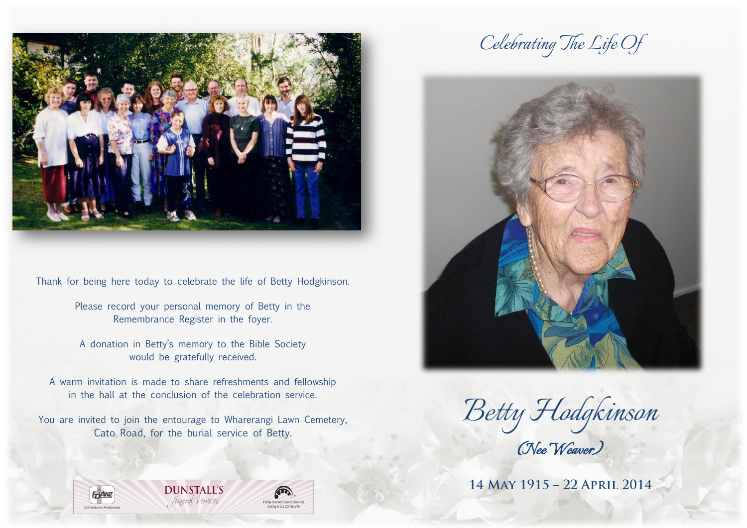

Thank for being here today to celebrate the life of Betty Hodgkinson.

Please record your personal memory of Betty in the Remembrance Register in the foyer.

A donation in Betty's memory to the Bible Society would be gratefully received.

A warm invitation is made to share refreshments and fellowship in the hall at the conclusion of the celebration service.

You are invited to join the entourage to Wharerangi Lawn Cemetery, Cato Road, for the burial service of Betty.









*Betty Hodgkinson (Nee Weaver)* 

14 MAY 1915 - 22 APRIL 2014